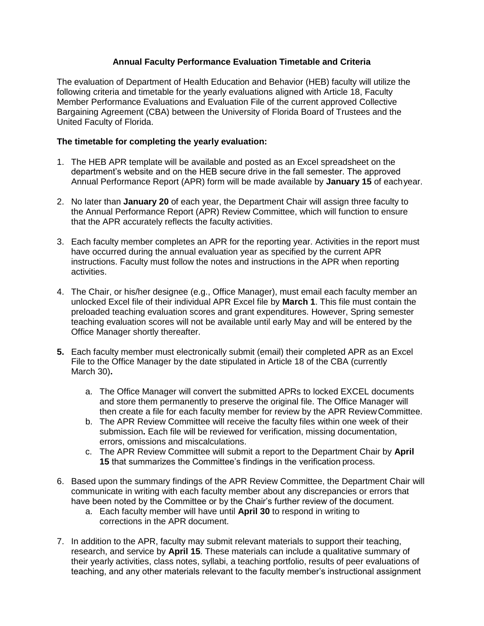## **Annual Faculty Performance Evaluation Timetable and Criteria**

The evaluation of Department of Health Education and Behavior (HEB) faculty will utilize the following criteria and timetable for the yearly evaluations aligned with Article 18, Faculty Member Performance Evaluations and Evaluation File of the current approved Collective Bargaining Agreement (CBA) between the University of Florida Board of Trustees and the United Faculty of Florida.

## **The timetable for completing the yearly evaluation:**

- 1. The HEB APR template will be available and posted as an Excel spreadsheet on the department's website and on the HEB secure drive in the fall semester. The approved Annual Performance Report (APR) form will be made available by **January 15** of eachyear.
- 2. No later than **January 20** of each year, the Department Chair will assign three faculty to the Annual Performance Report (APR) Review Committee, which will function to ensure that the APR accurately reflects the faculty activities.
- 3. Each faculty member completes an APR for the reporting year. Activities in the report must have occurred during the annual evaluation year as specified by the current APR instructions. Faculty must follow the notes and instructions in the APR when reporting activities.
- 4. The Chair, or his/her designee (e.g., Office Manager), must email each faculty member an unlocked Excel file of their individual APR Excel file by **March 1**. This file must contain the preloaded teaching evaluation scores and grant expenditures. However, Spring semester teaching evaluation scores will not be available until early May and will be entered by the Office Manager shortly thereafter.
- **5.** Each faculty member must electronically submit (email) their completed APR as an Excel File to the Office Manager by the date stipulated in Article 18 of the CBA (currently March 30)**.**
	- a. The Office Manager will convert the submitted APRs to locked EXCEL documents and store them permanently to preserve the original file. The Office Manager will then create a file for each faculty member for review by the APR ReviewCommittee.
	- b. The APR Review Committee will receive the faculty files within one week of their submission**.** Each file will be reviewed for verification, missing documentation, errors, omissions and miscalculations.
	- c. The APR Review Committee will submit a report to the Department Chair by **April 15** that summarizes the Committee's findings in the verification process.
- 6. Based upon the summary findings of the APR Review Committee, the Department Chair will communicate in writing with each faculty member about any discrepancies or errors that have been noted by the Committee or by the Chair's further review of the document.
	- a. Each faculty member will have until **April 30** to respond in writing to corrections in the APR document.
- 7. In addition to the APR, faculty may submit relevant materials to support their teaching, research, and service by **April 15**. These materials can include a qualitative summary of their yearly activities, class notes, syllabi, a teaching portfolio, results of peer evaluations of teaching, and any other materials relevant to the faculty member's instructional assignment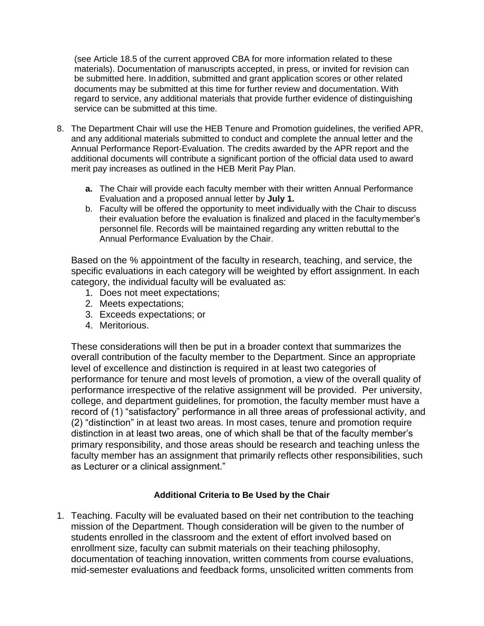(see Article 18.5 of the current approved CBA for more information related to these materials). Documentation of manuscripts accepted, in press, or invited for revision can be submitted here. Inaddition, submitted and grant application scores or other related documents may be submitted at this time for further review and documentation. With regard to service, any additional materials that provide further evidence of distinguishing service can be submitted at this time.

- 8. The Department Chair will use the HEB Tenure and Promotion guidelines, the verified APR, and any additional materials submitted to conduct and complete the annual letter and the Annual Performance Report-Evaluation. The credits awarded by the APR report and the additional documents will contribute a significant portion of the official data used to award merit pay increases as outlined in the HEB Merit Pay Plan.
	- **a.** The Chair will provide each faculty member with their written Annual Performance Evaluation and a proposed annual letter by **July 1.**
	- b. Faculty will be offered the opportunity to meet individually with the Chair to discuss their evaluation before the evaluation is finalized and placed in the facultymember's personnel file. Records will be maintained regarding any written rebuttal to the Annual Performance Evaluation by the Chair.

Based on the % appointment of the faculty in research, teaching, and service, the specific evaluations in each category will be weighted by effort assignment. In each category, the individual faculty will be evaluated as:

- 1. Does not meet expectations;
- 2. Meets expectations;
- 3. Exceeds expectations; or
- 4. Meritorious.

These considerations will then be put in a broader context that summarizes the overall contribution of the faculty member to the Department. Since an appropriate level of excellence and distinction is required in at least two categories of performance for tenure and most levels of promotion, a view of the overall quality of performance irrespective of the relative assignment will be provided. Per university, college, and department guidelines, for promotion, the faculty member must have a record of (1) "satisfactory" performance in all three areas of professional activity, and (2) "distinction" in at least two areas. In most cases, tenure and promotion require distinction in at least two areas, one of which shall be that of the faculty member's primary responsibility, and those areas should be research and teaching unless the faculty member has an assignment that primarily reflects other responsibilities, such as Lecturer or a clinical assignment."

## **Additional Criteria to Be Used by the Chair**

1. Teaching. Faculty will be evaluated based on their net contribution to the teaching mission of the Department. Though consideration will be given to the number of students enrolled in the classroom and the extent of effort involved based on enrollment size, faculty can submit materials on their teaching philosophy, documentation of teaching innovation, written comments from course evaluations, mid-semester evaluations and feedback forms, unsolicited written comments from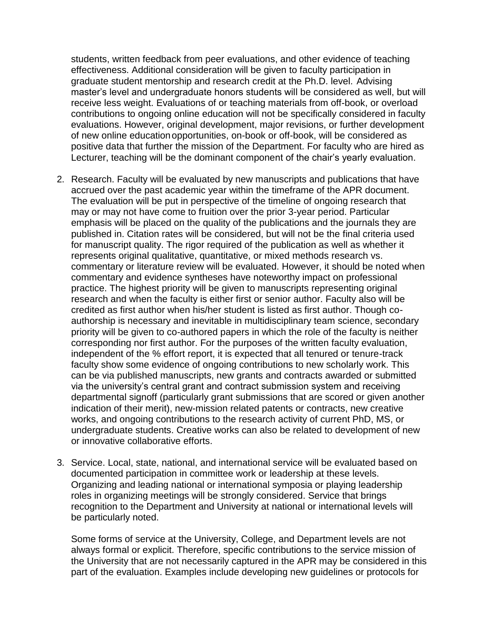students, written feedback from peer evaluations, and other evidence of teaching effectiveness. Additional consideration will be given to faculty participation in graduate student mentorship and research credit at the Ph.D. level. Advising master's level and undergraduate honors students will be considered as well, but will receive less weight. Evaluations of or teaching materials from off-book, or overload contributions to ongoing online education will not be specifically considered in faculty evaluations. However, original development, major revisions, or further development of new online educationopportunities, on-book or off-book, will be considered as positive data that further the mission of the Department. For faculty who are hired as Lecturer, teaching will be the dominant component of the chair's yearly evaluation.

- 2. Research. Faculty will be evaluated by new manuscripts and publications that have accrued over the past academic year within the timeframe of the APR document. The evaluation will be put in perspective of the timeline of ongoing research that may or may not have come to fruition over the prior 3-year period. Particular emphasis will be placed on the quality of the publications and the journals they are published in. Citation rates will be considered, but will not be the final criteria used for manuscript quality. The rigor required of the publication as well as whether it represents original qualitative, quantitative, or mixed methods research vs. commentary or literature review will be evaluated. However, it should be noted when commentary and evidence syntheses have noteworthy impact on professional practice. The highest priority will be given to manuscripts representing original research and when the faculty is either first or senior author. Faculty also will be credited as first author when his/her student is listed as first author. Though coauthorship is necessary and inevitable in multidisciplinary team science, secondary priority will be given to co-authored papers in which the role of the faculty is neither corresponding nor first author. For the purposes of the written faculty evaluation, independent of the % effort report, it is expected that all tenured or tenure-track faculty show some evidence of ongoing contributions to new scholarly work. This can be via published manuscripts, new grants and contracts awarded or submitted via the university's central grant and contract submission system and receiving departmental signoff (particularly grant submissions that are scored or given another indication of their merit), new-mission related patents or contracts, new creative works, and ongoing contributions to the research activity of current PhD, MS, or undergraduate students. Creative works can also be related to development of new or innovative collaborative efforts.
- 3. Service. Local, state, national, and international service will be evaluated based on documented participation in committee work or leadership at these levels. Organizing and leading national or international symposia or playing leadership roles in organizing meetings will be strongly considered. Service that brings recognition to the Department and University at national or international levels will be particularly noted.

Some forms of service at the University, College, and Department levels are not always formal or explicit. Therefore, specific contributions to the service mission of the University that are not necessarily captured in the APR may be considered in this part of the evaluation. Examples include developing new guidelines or protocols for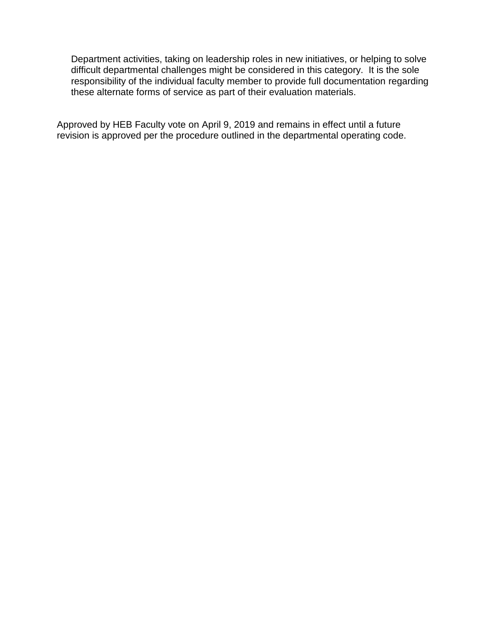Department activities, taking on leadership roles in new initiatives, or helping to solve difficult departmental challenges might be considered in this category. It is the sole responsibility of the individual faculty member to provide full documentation regarding these alternate forms of service as part of their evaluation materials.

Approved by HEB Faculty vote on April 9, 2019 and remains in effect until a future revision is approved per the procedure outlined in the departmental operating code.